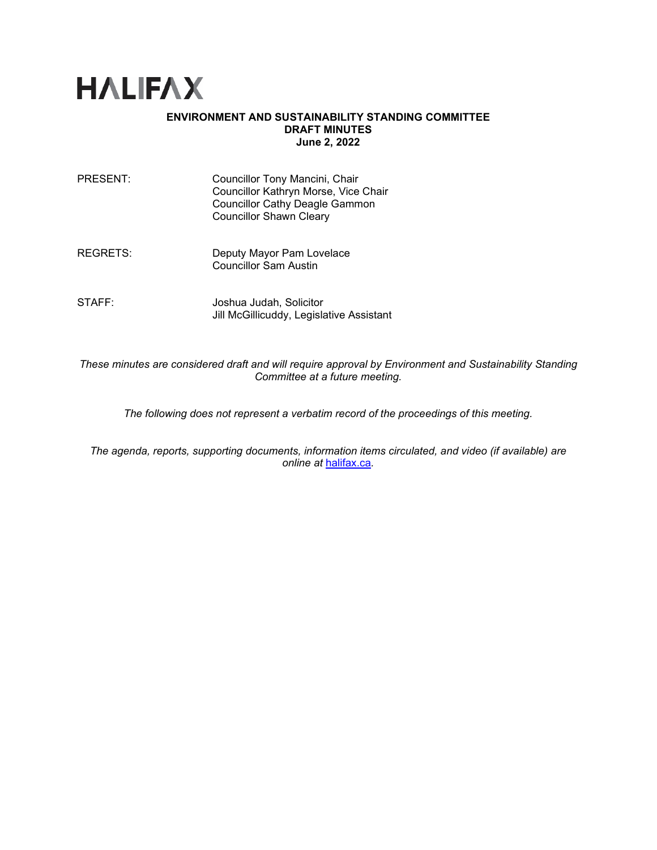

#### **ENVIRONMENT AND SUSTAINABILITY STANDING COMMITTEE DRAFT MINUTES June 2, 2022**

| PRESENT: | Councillor Tony Mancini, Chair<br>Councillor Kathryn Morse, Vice Chair<br><b>Councillor Cathy Deagle Gammon</b><br><b>Councillor Shawn Cleary</b> |
|----------|---------------------------------------------------------------------------------------------------------------------------------------------------|
| REGRETS: | Deputy Mayor Pam Lovelace<br><b>Councillor Sam Austin</b>                                                                                         |

STAFF: Joshua Judah, Solicitor Jill McGillicuddy, Legislative Assistant

*These minutes are considered draft and will require approval by Environment and Sustainability Standing Committee at a future meeting.* 

*The following does not represent a verbatim record of the proceedings of this meeting.*

*The agenda, reports, supporting documents, information items circulated, and video (if available) are online at* [halifax.ca](http://www.halifax.ca/)*.*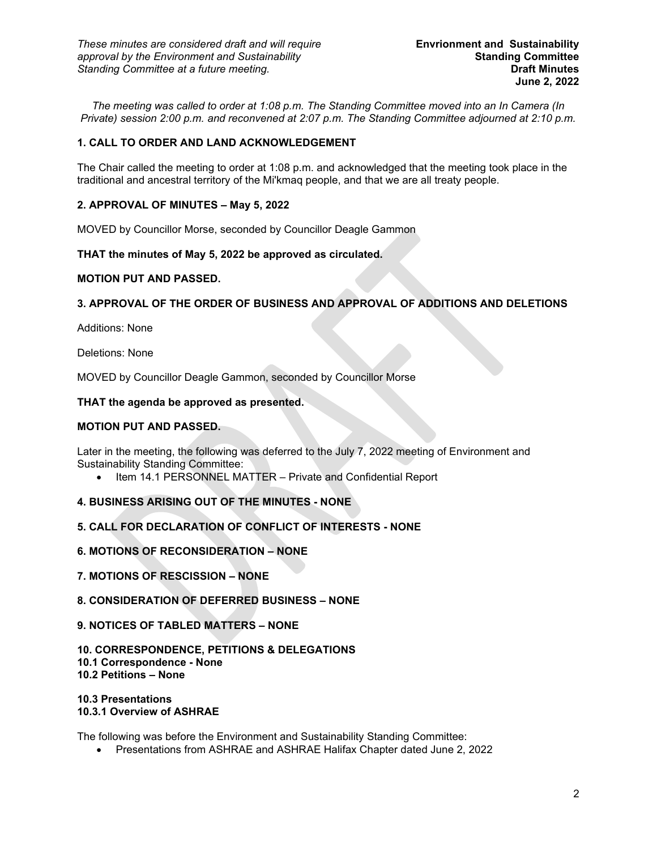*The meeting was called to order at 1:08 p.m. The Standing Committee moved into an In Camera (In Private) session 2:00 p.m. and reconvened at 2:07 p.m. The Standing Committee adjourned at 2:10 p.m.*

## **1. CALL TO ORDER AND LAND ACKNOWLEDGEMENT**

The Chair called the meeting to order at 1:08 p.m. and acknowledged that the meeting took place in the traditional and ancestral territory of the Mi'kmaq people, and that we are all treaty people.

### **2. APPROVAL OF MINUTES – May 5, 2022**

MOVED by Councillor Morse, seconded by Councillor Deagle Gammon

**THAT the minutes of May 5, 2022 be approved as circulated.**

### **MOTION PUT AND PASSED.**

## **3. APPROVAL OF THE ORDER OF BUSINESS AND APPROVAL OF ADDITIONS AND DELETIONS**

Additions: None

Deletions: None

MOVED by Councillor Deagle Gammon, seconded by Councillor Morse

#### **THAT the agenda be approved as presented.**

#### **MOTION PUT AND PASSED.**

Later in the meeting, the following was deferred to the July 7, 2022 meeting of Environment and Sustainability Standing Committee:

• Item 14.1 PERSONNEL MATTER – Private and Confidential Report

### **4. BUSINESS ARISING OUT OF THE MINUTES - NONE**

### **5. CALL FOR DECLARATION OF CONFLICT OF INTERESTS - NONE**

### **6. MOTIONS OF RECONSIDERATION – NONE**

- **7. MOTIONS OF RESCISSION – NONE**
- **8. CONSIDERATION OF DEFERRED BUSINESS – NONE**

#### **9. NOTICES OF TABLED MATTERS – NONE**

# **10. CORRESPONDENCE, PETITIONS & DELEGATIONS 10.1 Correspondence - None**

**10.2 Petitions – None**

**10.3 Presentations 10.3.1 Overview of ASHRAE**

The following was before the Environment and Sustainability Standing Committee:

• Presentations from ASHRAE and ASHRAE Halifax Chapter dated June 2, 2022